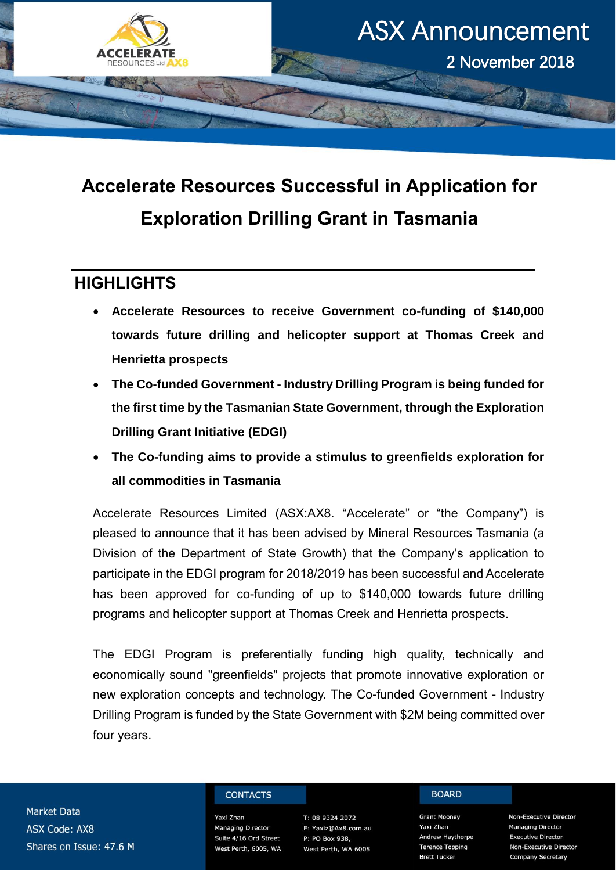

# **Accelerate Resources Successful in Application for Exploration Drilling Grant in Tasmania**

## **HIGHLIGHTS**

- **Accelerate Resources to receive Government co-funding of \$140,000 towards future drilling and helicopter support at Thomas Creek and Henrietta prospects**
- **The Co-funded Government - Industry Drilling Program is being funded for the first time by the Tasmanian State Government, through the Exploration Drilling Grant Initiative (EDGI)**
- **The Co-funding aims to provide a stimulus to greenfields exploration for all commodities in Tasmania**

Accelerate Resources Limited (ASX:AX8. "Accelerate" or "the Company") is pleased to announce that it has been advised by Mineral Resources Tasmania (a Division of the Department of State Growth) that the Company's application to participate in the EDGI program for 2018/2019 has been successful and Accelerate has been approved for co-funding of up to \$140,000 towards future drilling programs and helicopter support at Thomas Creek and Henrietta prospects.

The EDGI Program is preferentially funding high quality, technically and economically sound "greenfields" projects that promote innovative exploration or new exploration concepts and technology. The Co-funded Government - Industry Drilling Program is funded by the State Government with \$2M being committed over four years.

**Market Data ASX Code: AX8** Shares on Issue: 47.6 M

#### **CONTACTS**

Yaxi Zhan Managing Director Suite 4/16 Ord Street West Perth, 6005, WA

T: 08 9324 2072 E: Yaxiz@Ax8.com.au P: PO Box 938, West Perth, WA 6005

### **BOARD**

**Grant Mooney** Yaxi Zhan **Andrew Haythorpe Terence Topping Brett Tucker** 

Non-Executive Director **Managing Director Executive Director** Non-Executive Director **Company Secretary**